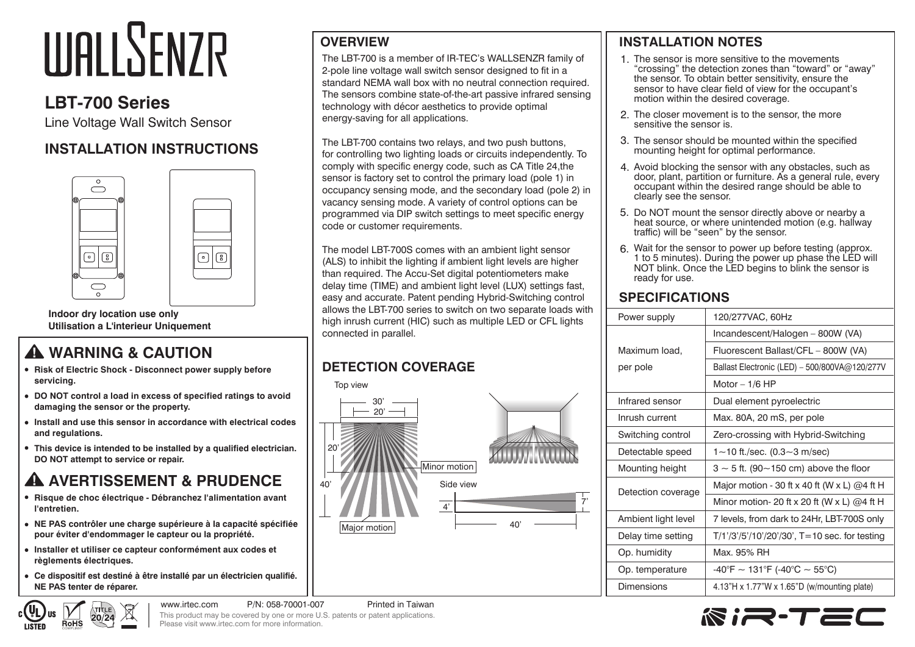# **WALLSENZR**

# **LBT-700 Series**

Line Voltage Wall Switch Sensor

## **INSTALLATION INSTRUCTIONS**



**Indoor dry location use only Utilisation a L'interieur Uniquement**

# **WARNING & CAUTION**

- **Risk of Electric Shock Disconnect power supply before servicing.**
- **DO NOT control a load in excess of specified ratings to avoid damaging the sensor or the property.**

 $\bigcirc$   $\bigcirc$ 

- **Install and use this sensor in accordance with electrical codes and regulations.**
- **This device is intended to be installed by a qualified electrician. DO NOT attempt to service or repair.**

# **A AVERTISSEMENT & PRUDENCE**

- **Risque de choc électrique Débranchez l'alimentation avant l'entretien.**
- **NE PAS contrôler une charge supérieure à la capacité spécifiée pour éviter d'endommager le capteur ou la propriété.**
- **Installer et utiliser ce capteur conformément aux codes et règlements électriques.**

 $20/24$ 

**RoHS** 

**Ce dispositif est destiné à être installé par un électricien qualifié. NE PAS tenter de réparer.**

#### **OVERVIEW**

The LBT-700 is a member of IR-TEC's WALLSENZR family of 2-pole line voltage wall switch sensor designed to fit in a standard NEMA wall box with no neutral connection required. The sensors combine state-of-the-art passive infrared sensing technology with décor aesthetics to provide optimal energy-saving for all applications.

The LBT-700 contains two relays, and two push buttons, for controlling two lighting loads or circuits independently. To comply with specific energy code, such as CA Title 24,the sensor is factory set to control the primary load (pole 1) in occupancy sensing mode, and the secondary load (pole 2) in vacancy sensing mode. A variety of control options can be programmed via DIP switch settings to meet specific energy code or customer requirements.

The model LBT-700S comes with an ambient light sensor (ALS) to inhibit the lighting if ambient light levels are higher than required. The Accu-Set digital potentiometers make delay time (TIME) and ambient light level (LUX) settings fast, easy and accurate. Patent pending Hybrid-Switching control allows the LBT-700 series to switch on two separate loads with high inrush current (HIC) such as multiple LED or CFL lights connected in parallel.

## **DETECTION COVERAGE**

Top view



#### **INSTALLATION NOTES**

- 1. The sensor is more sensitive to the movements "crossing" the detection zones than "toward" or "away" the sensor. To obtain better sensitivity, ensure the sensor to have clear field of view for the occupant's motion within the desired coverage.
- 2. The closer movement is to the sensor, the more sensitive the sensor is.
- The sensor should be mounted within the specified 3. mounting height for optimal performance.
- Avoid blocking the sensor with any obstacles, such as 4. door, plant, partition or furniture. As a general rule, every occupant within the desired range should be able to clearly see the sensor.
- 5. Do NOT mount the sensor directly above or nearby a heat source, or where unintended motion (e.g. hallway traffic) will be "seen" by the sensor.
- Wait for the sensor to power up before testing (approx. 6.1 to 5 minutes). During the power up phase the LED will NOT blink. Once the LED begins to blink the sensor is ready for use.

#### **SPECIFICATIONS**

| Power supply        | 120/277VAC, 60Hz                                 |  |
|---------------------|--------------------------------------------------|--|
|                     | Incandescent/Halogen - 800W (VA)                 |  |
| Maximum load,       | Fluorescent Ballast/CFL - 800W (VA)              |  |
| per pole            | Ballast Electronic (LED) - 500/800VA@120/277V    |  |
|                     | Motor $-1/6$ HP                                  |  |
| Infrared sensor     | Dual element pyroelectric                        |  |
| Inrush current      | Max. 80A, 20 mS, per pole                        |  |
| Switching control   | Zero-crossing with Hybrid-Switching              |  |
| Detectable speed    | 1~10 ft./sec. (0.3~3 m/sec)                      |  |
| Mounting height     | $3 \sim 5$ ft. (90~150 cm) above the floor       |  |
| Detection coverage  | Major motion - 30 ft x 40 ft (W x L) $@4$ ft H   |  |
|                     | Minor motion- 20 ft x 20 ft (W x L) $@4$ ft H    |  |
| Ambient light level | 7 levels, from dark to 24Hr, LBT-700S only       |  |
| Delay time setting  | $T/1'/3'/5'/10'/20'/30'$ , T=10 sec. for testing |  |
| Op. humidity        | Max. 95% RH                                      |  |
| Op. temperature     | $-40^{\circ}$ F ~ 131°F (-40°C ~ 55°C)           |  |
| Dimensions          | 4.13"H x 1.77"W x 1.65"D (w/mounting plate)      |  |



www.irtec.com P/N: 058-70001-007 Printed in Taiwan This product may be covered by one or more U.S. patents or patent applications. Please visit www.irtec.com for more information.